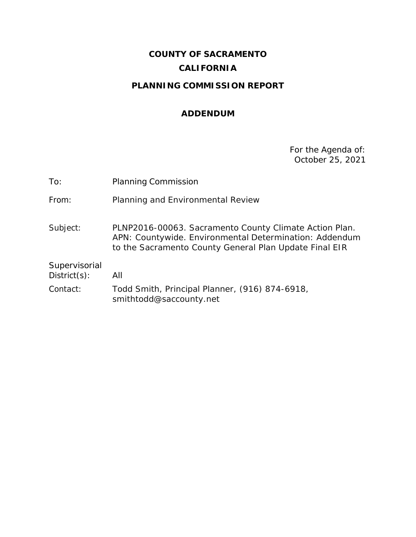# **COUNTY OF SACRAMENTO CALIFORNIA**

# **PLANNING COMMISSION REPORT**

#### **ADDENDUM**

For the Agenda of: October 25, 2021

| <b>Planning Commission</b>                                                                                                                                                 |
|----------------------------------------------------------------------------------------------------------------------------------------------------------------------------|
| Planning and Environmental Review                                                                                                                                          |
| PLNP2016-00063. Sacramento County Climate Action Plan.<br>APN: Countywide. Environmental Determination: Addendum<br>to the Sacramento County General Plan Update Final EIR |
| All                                                                                                                                                                        |
| Todd Smith, Principal Planner, (916) 874-6918,<br>smithtodd@saccounty.net                                                                                                  |
|                                                                                                                                                                            |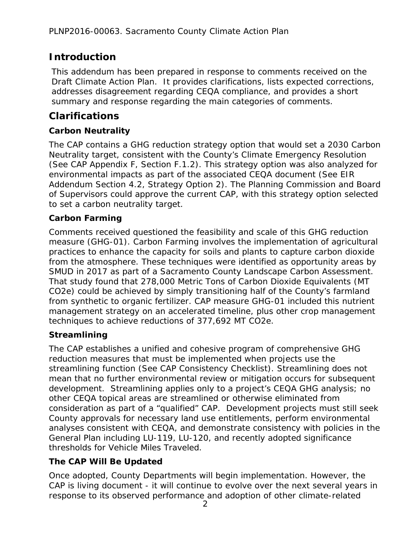# **Introduction**

This addendum has been prepared in response to comments received on the Draft Climate Action Plan. It provides clarifications, lists expected corrections, addresses disagreement regarding CEQA compliance, and provides a short summary and response regarding the main categories of comments.

### **Clarifications**

#### **Carbon Neutrality**

The CAP contains a GHG reduction strategy option that would set a 2030 Carbon Neutrality target, consistent with the County's Climate Emergency Resolution (See CAP Appendix F, Section F.1.2). This strategy option was also analyzed for environmental impacts as part of the associated CEQA document (See EIR Addendum Section 4.2, Strategy Option 2). The Planning Commission and Board of Supervisors could approve the current CAP, with this strategy option selected to set a carbon neutrality target.

#### **Carbon Farming**

Comments received questioned the feasibility and scale of this GHG reduction measure (GHG-01). Carbon Farming involves the implementation of agricultural practices to enhance the capacity for soils and plants to capture carbon dioxide from the atmosphere. These techniques were identified as opportunity areas by SMUD in 2017 as part of a Sacramento County Landscape Carbon Assessment. That study found that 278,000 Metric Tons of Carbon Dioxide Equivalents (MT CO2e) could be achieved by simply transitioning half of the County's farmland from synthetic to organic fertilizer. CAP measure GHG-01 included this nutrient management strategy on an accelerated timeline, plus other crop management techniques to achieve reductions of 377,692 MT CO2e.

#### **Streamlining**

The CAP establishes a unified and cohesive program of comprehensive GHG reduction measures that must be implemented when projects use the streamlining function (See CAP Consistency Checklist). Streamlining does not mean that no further environmental review or mitigation occurs for subsequent development. Streamlining applies only to a project's CEQA GHG analysis; no other CEQA topical areas are streamlined or otherwise eliminated from consideration as part of a "qualified" CAP. Development projects must still seek County approvals for necessary land use entitlements, perform environmental analyses consistent with CEQA, and demonstrate consistency with policies in the General Plan including LU-119, LU-120, and recently adopted significance thresholds for Vehicle Miles Traveled.

#### **The CAP Will Be Updated**

Once adopted, County Departments will begin implementation. However, the CAP is living document - it will continue to evolve over the next several years in response to its observed performance and adoption of other climate-related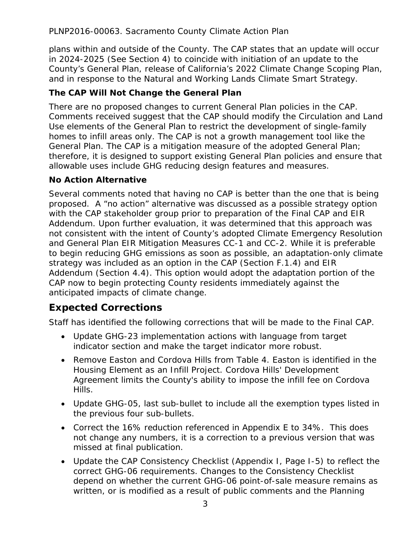PLNP2016-00063. Sacramento County Climate Action Plan

plans within and outside of the County. The CAP states that an update will occur in 2024-2025 (See Section 4) to coincide with initiation of an update to the County's General Plan, release of California's 2022 Climate Change Scoping Plan, and in response to the Natural and Working Lands Climate Smart Strategy.

#### **The CAP Will Not Change the General Plan**

There are no proposed changes to current General Plan policies in the CAP. Comments received suggest that the CAP should modify the Circulation and Land Use elements of the General Plan to restrict the development of single-family homes to infill areas only. The CAP is not a growth management tool like the General Plan. The CAP is a mitigation measure of the adopted General Plan; therefore, it is designed to support existing General Plan policies and ensure that allowable uses include GHG reducing design features and measures.

#### **No Action Alternative**

Several comments noted that having no CAP is better than the one that is being proposed. A "no action" alternative was discussed as a possible strategy option with the CAP stakeholder group prior to preparation of the Final CAP and EIR Addendum. Upon further evaluation, it was determined that this approach was not consistent with the intent of County's adopted Climate Emergency Resolution and General Plan EIR Mitigation Measures CC-1 and CC-2. While it is preferable to begin reducing GHG emissions as soon as possible, an adaptation-only climate strategy was included as an option in the CAP (Section F.1.4) and EIR Addendum (Section 4.4). This option would adopt the adaptation portion of the CAP now to begin protecting County residents immediately against the anticipated impacts of climate change.

# **Expected Corrections**

Staff has identified the following corrections that will be made to the Final CAP.

- Update GHG-23 implementation actions with language from target indicator section and make the target indicator more robust.
- Remove Easton and Cordova Hills from Table 4. Easton is identified in the Housing Element as an Infill Project. Cordova Hills' Development Agreement limits the County's ability to impose the infill fee on Cordova Hills.
- Update GHG-05, last sub-bullet to include all the exemption types listed in the previous four sub-bullets.
- Correct the 16% reduction referenced in Appendix E to 34%. This does not change any numbers, it is a correction to a previous version that was missed at final publication.
- Update the CAP Consistency Checklist (Appendix I, Page I-5) to reflect the correct GHG-06 requirements. Changes to the Consistency Checklist depend on whether the current GHG-06 point-of-sale measure remains as written, or is modified as a result of public comments and the Planning